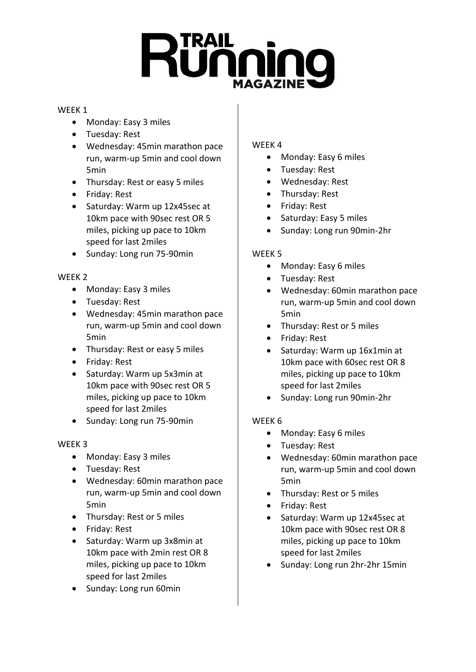# Running

## WEEK 1

- Monday: Easy 3 miles
- Tuesday: Rest
- Wednesday: 45min marathon pace run, warm-up 5min and cool down 5min
- Thursday: Rest or easy 5 miles
- Friday: Rest
- Saturday: Warm up 12x45sec at 10km pace with 90sec rest OR 5 miles, picking up pace to 10km speed for last 2miles
- Sunday: Long run 75-90min

# WEEK 2

- Monday: Easy 3 miles
- Tuesday: Rest
- Wednesday: 45min marathon pace run, warm-up 5min and cool down 5min
- Thursday: Rest or easy 5 miles
- Friday: Rest
- Saturday: Warm up 5x3min at 10km pace with 90sec rest OR 5 miles, picking up pace to 10km speed for last 2miles
- Sunday: Long run 75-90min

# WEEK 3

- Monday: Easy 3 miles
- Tuesday: Rest
- Wednesday: 60min marathon pace run, warm-up 5min and cool down 5min
- Thursday: Rest or 5 miles
- Friday: Rest
- Saturday: Warm up 3x8min at 10km pace with 2min rest OR 8 miles, picking up pace to 10km speed for last 2miles
- Sunday: Long run 60min

# WEEK 4

- Monday: Easy 6 miles
- Tuesday: Rest
- Wednesday: Rest
- Thursday: Rest
- Friday: Rest
- Saturday: Easy 5 miles
- Sunday: Long run 90min-2hr

# WEEK 5

- Monday: Easy 6 miles
- Tuesday: Rest
- Wednesday: 60min marathon pace run, warm-up 5min and cool down 5min
- Thursday: Rest or 5 miles
- Friday: Rest
- Saturday: Warm up 16x1min at 10km pace with 60sec rest OR 8 miles, picking up pace to 10km speed for last 2miles
- Sunday: Long run 90min-2hr

# WEEK 6

- Monday: Easy 6 miles
- Tuesday: Rest
- Wednesday: 60min marathon pace run, warm-up 5min and cool down 5min
- Thursday: Rest or 5 miles
- Friday: Rest
- Saturday: Warm up 12x45sec at 10km pace with 90sec rest OR 8 miles, picking up pace to 10km speed for last 2miles
- Sunday: Long run 2hr-2hr 15min